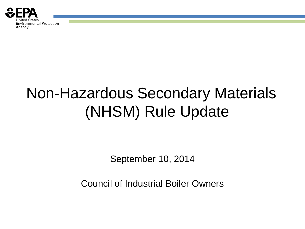

# Non-Hazardous Secondary Materials (NHSM) Rule Update

September 10, 2014

Council of Industrial Boiler Owners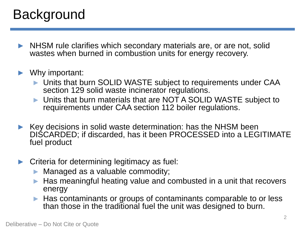## **Background**

► NHSM rule clarifies which secondary materials are, or are not, solid wastes when burned in combustion units for energy recovery.

#### ► Why important:

- ► Units that burn SOLID WASTE subject to requirements under CAA section 129 solid waste incinerator regulations.
- ► Units that burn materials that are NOT A SOLID WASTE subject to requirements under CAA section 112 boiler regulations.
- ► Key decisions in solid waste determination: has the NHSM been DISCARDED; if discarded, has it been PROCESSED into a LEGITIMATE fuel product
- ► Criteria for determining legitimacy as fuel:
	- ► Managed as a valuable commodity;
	- ► Has meaningful heating value and combusted in a unit that recovers energy
	- ► Has contaminants or groups of contaminants comparable to or less than those in the traditional fuel the unit was designed to burn.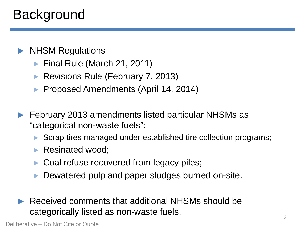## **Background**

### ► NHSM Regulations

- ► Final Rule (March 21, 2011)
- ► Revisions Rule (February 7, 2013)
- ► Proposed Amendments (April 14, 2014)
- ► February 2013 amendments listed particular NHSMs as "categorical non-waste fuels":
	- ► Scrap tires managed under established tire collection programs;
	- ► Resinated wood;
	- ► Coal refuse recovered from legacy piles;
	- ► Dewatered pulp and paper sludges burned on-site.
- Received comments that additional NHSMs should be categorically listed as non-waste fuels.

Deliberative – Do Not Cite or Quote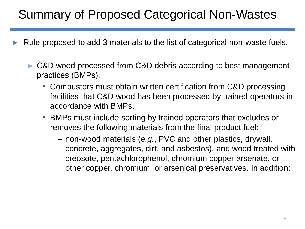- Rule proposed to add 3 materials to the list of categorical non-waste fuels.
	- ► C&D wood processed from C&D debris according to best management practices (BMPs).
		- Combustors must obtain written certification from C&D processing facilities that C&D wood has been processed by trained operators in accordance with BMPs.
		- BMPs must include sorting by trained operators that excludes or removes the following materials from the final product fuel:
			- non-wood materials (*e.g.*, PVC and other plastics, drywall, concrete, aggregates, dirt, and asbestos), and wood treated with creosote, pentachlorophenol, chromium copper arsenate, or other copper, chromium, or arsenical preservatives. In addition: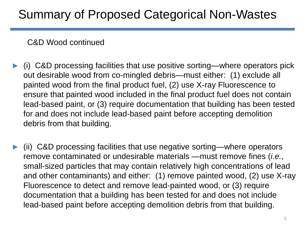#### C&D Wood continued

- ► (i) C&D processing facilities that use positive sorting—where operators pick out desirable wood from co-mingled debris—must either: (1) exclude all painted wood from the final product fuel, (2) use X-ray Fluorescence to ensure that painted wood included in the final product fuel does not contain lead-based paint, or (3) require documentation that building has been tested for and does not include lead-based paint before accepting demolition debris from that building.
- ► (ii) C&D processing facilities that use negative sorting—where operators remove contaminated or undesirable materials —must remove fines (*i.e.*, small-sized particles that may contain relatively high concentrations of lead and other contaminants) and either: (1) remove painted wood, (2) use X-ray Fluorescence to detect and remove lead-painted wood, or (3) require documentation that a building has been tested for and does not include lead-based paint before accepting demolition debris from that building.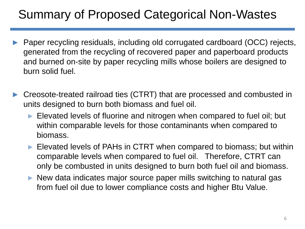- Paper recycling residuals, including old corrugated cardboard (OCC) rejects, generated from the recycling of recovered paper and paperboard products and burned on-site by paper recycling mills whose boilers are designed to burn solid fuel.
- Creosote-treated railroad ties (CTRT) that are processed and combusted in units designed to burn both biomass and fuel oil.
	- ► Elevated levels of fluorine and nitrogen when compared to fuel oil; but within comparable levels for those contaminants when compared to biomass.
	- ► Elevated levels of PAHs in CTRT when compared to biomass; but within comparable levels when compared to fuel oil. Therefore, CTRT can only be combusted in units designed to burn both fuel oil and biomass.
	- ► New data indicates major source paper mills switching to natural gas from fuel oil due to lower compliance costs and higher Btu Value.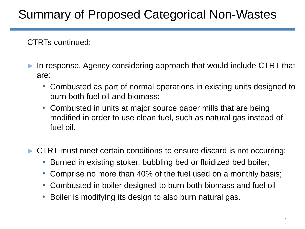CTRTs continued:

- In response, Agency considering approach that would include CTRT that are:
	- Combusted as part of normal operations in existing units designed to burn both fuel oil and biomass;
	- Combusted in units at major source paper mills that are being modified in order to use clean fuel, such as natural gas instead of fuel oil.
- ► CTRT must meet certain conditions to ensure discard is not occurring:
	- Burned in existing stoker, bubbling bed or fluidized bed boiler;
	- Comprise no more than 40% of the fuel used on a monthly basis;
	- Combusted in boiler designed to burn both biomass and fuel oil
	- Boiler is modifying its design to also burn natural gas.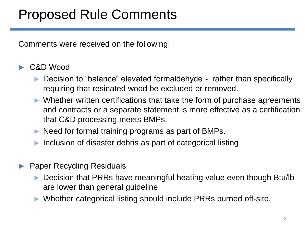## Proposed Rule Comments

Comments were received on the following:

#### C&D Wood

- ► Decision to "balance" elevated formaldehyde rather than specifically requiring that resinated wood be excluded or removed.
- ► Whether written certifications that take the form of purchase agreements and contracts or a separate statement is more effective as a certification that C&D processing meets BMPs.
- ► Need for formal training programs as part of BMPs.
- ► Inclusion of disaster debris as part of categorical listing
- ► Paper Recycling Residuals
	- ► Decision that PRRs have meaningful heating value even though Btu/lb are lower than general guideline
	- ► Whether categorical listing should include PRRs burned off-site.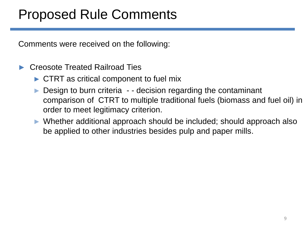## Proposed Rule Comments

Comments were received on the following:

#### ► Creosote Treated Railroad Ties

- ► CTRT as critical component to fuel mix
- Design to burn criteria - decision regarding the contaminant comparison of CTRT to multiple traditional fuels (biomass and fuel oil) in order to meet legitimacy criterion.
- ► Whether additional approach should be included; should approach also be applied to other industries besides pulp and paper mills.